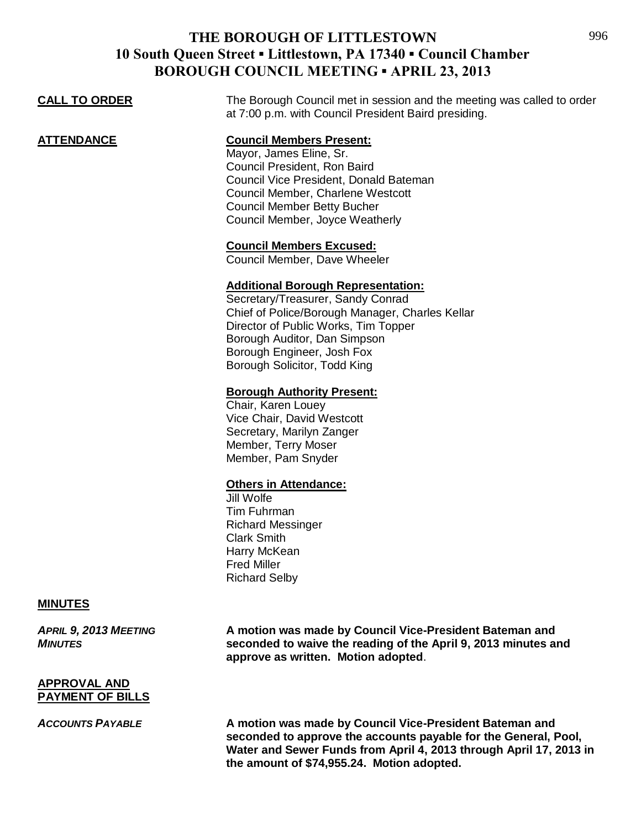| <b>CALL TO ORDER</b> | The Borough Council met in session and the meeting was called to order<br>at 7:00 p.m. with Council President Baird presiding. |
|----------------------|--------------------------------------------------------------------------------------------------------------------------------|
| ATTENDANCE           | <b>Council Members Present:</b><br>Mayor, James Eline, Sr.<br>Council President, Ron Baird                                     |
|                      | Council Vice President, Donald Bateman                                                                                         |
|                      | Council Member, Charlene Westcott                                                                                              |
|                      | <b>Council Member Betty Bucher</b>                                                                                             |
|                      | Council Member, Joyce Weatherly                                                                                                |
|                      | <b>Council Members Excused:</b>                                                                                                |
|                      | Council Member, Dave Wheeler                                                                                                   |
|                      | <b>Additional Borough Representation:</b>                                                                                      |
|                      | Secretary/Treasurer, Sandy Conrad                                                                                              |
|                      | Chief of Police/Borough Manager, Charles Kellar                                                                                |
|                      | Director of Public Works, Tim Topper                                                                                           |
|                      | Borough Auditor, Dan Simpson                                                                                                   |
|                      | Borough Engineer, Josh Fox<br>Borough Solicitor, Todd King                                                                     |
|                      |                                                                                                                                |
|                      | <b>Borough Authority Present:</b>                                                                                              |
|                      | Chair, Karen Louey                                                                                                             |
|                      | Vice Chair, David Westcott                                                                                                     |

Secretary, Marilyn Zanger Member, Terry Moser Member, Pam Snyder

#### **Others in Attendance:**

Jill Wolfe Tim Fuhrman Richard Messinger Clark Smith Harry McKean Fred Miller Richard Selby

#### **MINUTES**

*APRIL 9, 2013 MEETING* **A motion was made by Council Vice-President Bateman and**  *MINUTES* **seconded to waive the reading of the April 9, 2013 minutes and approve as written. Motion adopted**.

#### **APPROVAL AND PAYMENT OF BILLS**

*ACCOUNTS PAYABLE* **A motion was made by Council Vice-President Bateman and seconded to approve the accounts payable for the General, Pool, Water and Sewer Funds from April 4, 2013 through April 17, 2013 in the amount of \$74,955.24. Motion adopted.**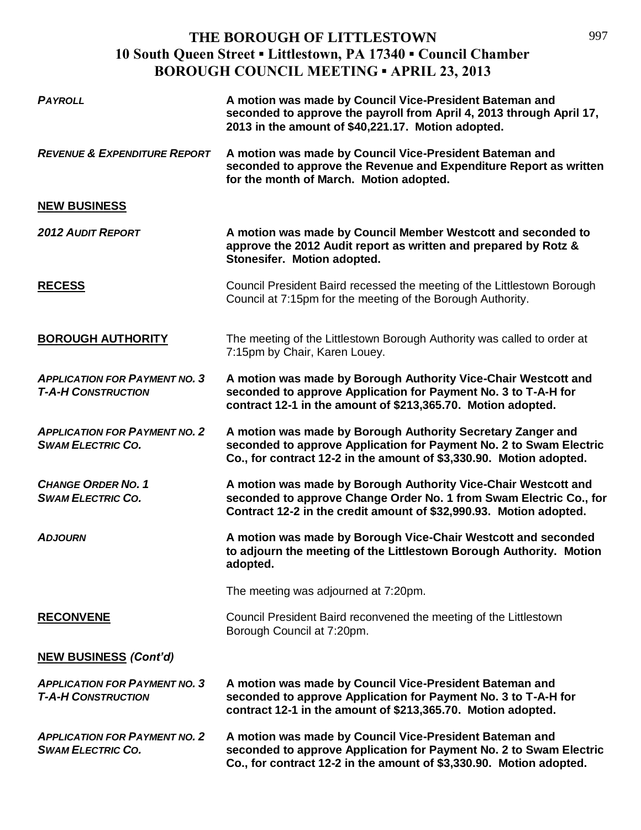| <b>PAYROLL</b>                                                    | A motion was made by Council Vice-President Bateman and<br>seconded to approve the payroll from April 4, 2013 through April 17,<br>2013 in the amount of \$40,221.17. Motion adopted.                      |
|-------------------------------------------------------------------|------------------------------------------------------------------------------------------------------------------------------------------------------------------------------------------------------------|
| <b>REVENUE &amp; EXPENDITURE REPORT</b>                           | A motion was made by Council Vice-President Bateman and<br>seconded to approve the Revenue and Expenditure Report as written<br>for the month of March. Motion adopted.                                    |
| <b>NEW BUSINESS</b>                                               |                                                                                                                                                                                                            |
| <b>2012 AUDIT REPORT</b>                                          | A motion was made by Council Member Westcott and seconded to<br>approve the 2012 Audit report as written and prepared by Rotz &<br>Stonesifer. Motion adopted.                                             |
| <b>RECESS</b>                                                     | Council President Baird recessed the meeting of the Littlestown Borough<br>Council at 7:15pm for the meeting of the Borough Authority.                                                                     |
| <b>BOROUGH AUTHORITY</b>                                          | The meeting of the Littlestown Borough Authority was called to order at<br>7:15pm by Chair, Karen Louey.                                                                                                   |
| <b>APPLICATION FOR PAYMENT NO. 3</b><br><b>T-A-H CONSTRUCTION</b> | A motion was made by Borough Authority Vice-Chair Westcott and<br>seconded to approve Application for Payment No. 3 to T-A-H for<br>contract 12-1 in the amount of \$213,365.70. Motion adopted.           |
| <b>APPLICATION FOR PAYMENT NO. 2</b><br><b>SWAM ELECTRIC CO.</b>  | A motion was made by Borough Authority Secretary Zanger and<br>seconded to approve Application for Payment No. 2 to Swam Electric<br>Co., for contract 12-2 in the amount of \$3,330.90. Motion adopted.   |
| <b>CHANGE ORDER NO. 1</b><br><b>SWAM ELECTRIC CO.</b>             | A motion was made by Borough Authority Vice-Chair Westcott and<br>seconded to approve Change Order No. 1 from Swam Electric Co., for<br>Contract 12-2 in the credit amount of \$32,990.93. Motion adopted. |
| <b>ADJOURN</b>                                                    | A motion was made by Borough Vice-Chair Westcott and seconded<br>to adjourn the meeting of the Littlestown Borough Authority. Motion<br>adopted.                                                           |
|                                                                   | The meeting was adjourned at 7:20pm.                                                                                                                                                                       |
| <b>RECONVENE</b>                                                  | Council President Baird reconvened the meeting of the Littlestown<br>Borough Council at 7:20pm.                                                                                                            |
| <b>NEW BUSINESS (Cont'd)</b>                                      |                                                                                                                                                                                                            |
| <b>APPLICATION FOR PAYMENT NO. 3</b><br><b>T-A-H CONSTRUCTION</b> | A motion was made by Council Vice-President Bateman and<br>seconded to approve Application for Payment No. 3 to T-A-H for<br>contract 12-1 in the amount of \$213,365.70. Motion adopted.                  |
| <b>APPLICATION FOR PAYMENT NO. 2</b><br><b>SWAM ELECTRIC CO.</b>  | A motion was made by Council Vice-President Bateman and<br>seconded to approve Application for Payment No. 2 to Swam Electric<br>Co., for contract 12-2 in the amount of \$3,330.90. Motion adopted.       |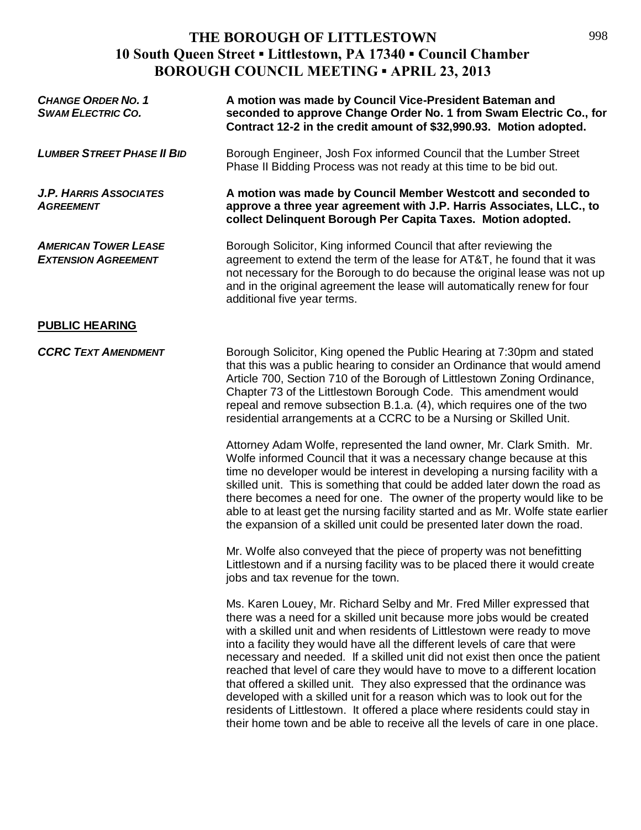| <b>CHANGE ORDER NO. 1</b><br><b>SWAM ELECTRIC CO.</b>     | A motion was made by Council Vice-President Bateman and<br>seconded to approve Change Order No. 1 from Swam Electric Co., for<br>Contract 12-2 in the credit amount of \$32,990.93. Motion adopted.                                                                                                                                                                                                                                                                                                                                                                                                                                                                                                                                                                                        |
|-----------------------------------------------------------|--------------------------------------------------------------------------------------------------------------------------------------------------------------------------------------------------------------------------------------------------------------------------------------------------------------------------------------------------------------------------------------------------------------------------------------------------------------------------------------------------------------------------------------------------------------------------------------------------------------------------------------------------------------------------------------------------------------------------------------------------------------------------------------------|
| <b>LUMBER STREET PHASE II BID</b>                         | Borough Engineer, Josh Fox informed Council that the Lumber Street<br>Phase II Bidding Process was not ready at this time to be bid out.                                                                                                                                                                                                                                                                                                                                                                                                                                                                                                                                                                                                                                                   |
| <b>J.P. HARRIS ASSOCIATES</b><br><b>AGREEMENT</b>         | A motion was made by Council Member Westcott and seconded to<br>approve a three year agreement with J.P. Harris Associates, LLC., to<br>collect Delinquent Borough Per Capita Taxes. Motion adopted.                                                                                                                                                                                                                                                                                                                                                                                                                                                                                                                                                                                       |
| <b>AMERICAN TOWER LEASE</b><br><b>EXTENSION AGREEMENT</b> | Borough Solicitor, King informed Council that after reviewing the<br>agreement to extend the term of the lease for AT&T, he found that it was<br>not necessary for the Borough to do because the original lease was not up<br>and in the original agreement the lease will automatically renew for four<br>additional five year terms.                                                                                                                                                                                                                                                                                                                                                                                                                                                     |
| <b>PUBLIC HEARING</b>                                     |                                                                                                                                                                                                                                                                                                                                                                                                                                                                                                                                                                                                                                                                                                                                                                                            |
| <b>CCRC TEXT AMENDMENT</b>                                | Borough Solicitor, King opened the Public Hearing at 7:30pm and stated<br>that this was a public hearing to consider an Ordinance that would amend<br>Article 700, Section 710 of the Borough of Littlestown Zoning Ordinance,<br>Chapter 73 of the Littlestown Borough Code. This amendment would<br>repeal and remove subsection B.1.a. (4), which requires one of the two<br>residential arrangements at a CCRC to be a Nursing or Skilled Unit.                                                                                                                                                                                                                                                                                                                                        |
|                                                           | Attorney Adam Wolfe, represented the land owner, Mr. Clark Smith. Mr.<br>Wolfe informed Council that it was a necessary change because at this<br>time no developer would be interest in developing a nursing facility with a<br>skilled unit. This is something that could be added later down the road as<br>there becomes a need for one. The owner of the property would like to be<br>able to at least get the nursing facility started and as Mr. Wolfe state earlier<br>the expansion of a skilled unit could be presented later down the road.                                                                                                                                                                                                                                     |
|                                                           | Mr. Wolfe also conveyed that the piece of property was not benefitting<br>Littlestown and if a nursing facility was to be placed there it would create<br>jobs and tax revenue for the town.                                                                                                                                                                                                                                                                                                                                                                                                                                                                                                                                                                                               |
|                                                           | Ms. Karen Louey, Mr. Richard Selby and Mr. Fred Miller expressed that<br>there was a need for a skilled unit because more jobs would be created<br>with a skilled unit and when residents of Littlestown were ready to move<br>into a facility they would have all the different levels of care that were<br>necessary and needed. If a skilled unit did not exist then once the patient<br>reached that level of care they would have to move to a different location<br>that offered a skilled unit. They also expressed that the ordinance was<br>developed with a skilled unit for a reason which was to look out for the<br>residents of Littlestown. It offered a place where residents could stay in<br>their home town and be able to receive all the levels of care in one place. |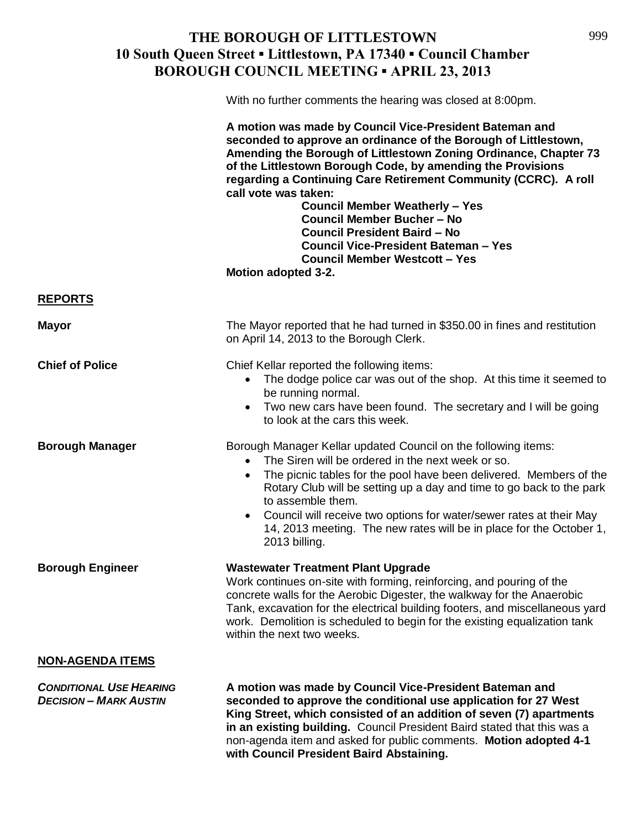With no further comments the hearing was closed at 8:00pm.

|                                                                 | A motion was made by Council Vice-President Bateman and<br>seconded to approve an ordinance of the Borough of Littlestown,<br>Amending the Borough of Littlestown Zoning Ordinance, Chapter 73<br>of the Littlestown Borough Code, by amending the Provisions<br>regarding a Continuing Care Retirement Community (CCRC). A roll<br>call vote was taken:<br><b>Council Member Weatherly - Yes</b><br><b>Council Member Bucher - No</b><br><b>Council President Baird - No</b><br><b>Council Vice-President Bateman - Yes</b><br><b>Council Member Westcott - Yes</b> |
|-----------------------------------------------------------------|----------------------------------------------------------------------------------------------------------------------------------------------------------------------------------------------------------------------------------------------------------------------------------------------------------------------------------------------------------------------------------------------------------------------------------------------------------------------------------------------------------------------------------------------------------------------|
|                                                                 | Motion adopted 3-2.                                                                                                                                                                                                                                                                                                                                                                                                                                                                                                                                                  |
| <b>REPORTS</b>                                                  |                                                                                                                                                                                                                                                                                                                                                                                                                                                                                                                                                                      |
| <b>Mayor</b>                                                    | The Mayor reported that he had turned in \$350.00 in fines and restitution<br>on April 14, 2013 to the Borough Clerk.                                                                                                                                                                                                                                                                                                                                                                                                                                                |
| <b>Chief of Police</b>                                          | Chief Kellar reported the following items:<br>The dodge police car was out of the shop. At this time it seemed to<br>$\bullet$<br>be running normal.<br>• Two new cars have been found. The secretary and I will be going<br>to look at the cars this week.                                                                                                                                                                                                                                                                                                          |
| <b>Borough Manager</b>                                          | Borough Manager Kellar updated Council on the following items:<br>The Siren will be ordered in the next week or so.<br>$\bullet$<br>The picnic tables for the pool have been delivered. Members of the<br>$\bullet$<br>Rotary Club will be setting up a day and time to go back to the park<br>to assemble them.<br>Council will receive two options for water/sewer rates at their May<br>$\bullet$<br>14, 2013 meeting. The new rates will be in place for the October 1,<br>2013 billing.                                                                         |
| <b>Borough Engineer</b>                                         | <b>Wastewater Treatment Plant Upgrade</b><br>Work continues on-site with forming, reinforcing, and pouring of the<br>concrete walls for the Aerobic Digester, the walkway for the Anaerobic<br>Tank, excavation for the electrical building footers, and miscellaneous yard<br>work. Demolition is scheduled to begin for the existing equalization tank<br>within the next two weeks.                                                                                                                                                                               |
| <b>NON-AGENDA ITEMS</b>                                         |                                                                                                                                                                                                                                                                                                                                                                                                                                                                                                                                                                      |
| <b>CONDITIONAL USE HEARING</b><br><b>DECISION - MARK AUSTIN</b> | A motion was made by Council Vice-President Bateman and<br>seconded to approve the conditional use application for 27 West<br>King Street, which consisted of an addition of seven (7) apartments<br>in an existing building. Council President Baird stated that this was a<br>non-agenda item and asked for public comments. Motion adopted 4-1<br>with Council President Baird Abstaining.                                                                                                                                                                        |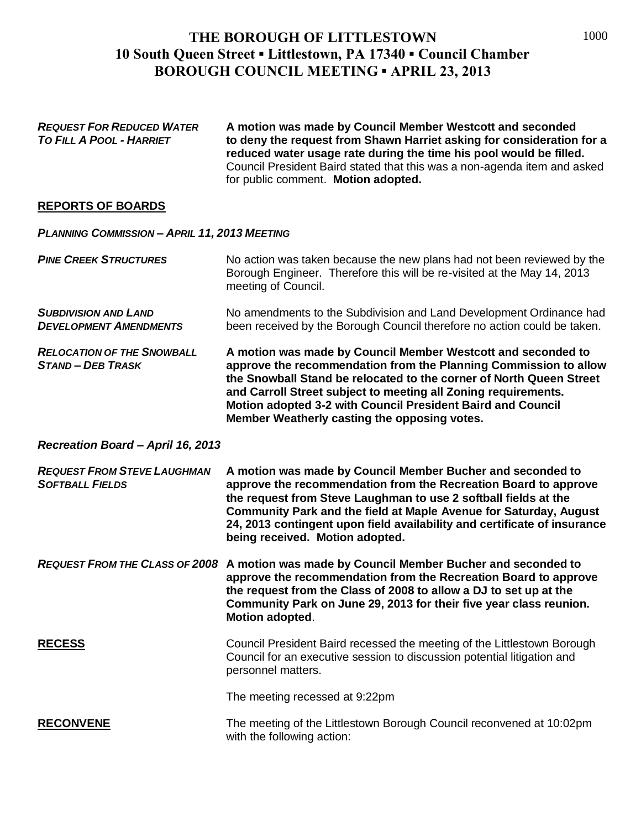| <b>REQUEST FOR REDUCED WATER</b><br>TO FILL A POOL - HARRIET  | A motion was made by Council Member Westcott and seconded<br>to deny the request from Shawn Harriet asking for consideration for a<br>reduced water usage rate during the time his pool would be filled.<br>Council President Baird stated that this was a non-agenda item and asked<br>for public comment. Motion adopted.                                                              |  |
|---------------------------------------------------------------|------------------------------------------------------------------------------------------------------------------------------------------------------------------------------------------------------------------------------------------------------------------------------------------------------------------------------------------------------------------------------------------|--|
| <b>REPORTS OF BOARDS</b>                                      |                                                                                                                                                                                                                                                                                                                                                                                          |  |
| <b>PLANNING COMMISSION - APRIL 11, 2013 MEETING</b>           |                                                                                                                                                                                                                                                                                                                                                                                          |  |
| <b>PINE CREEK STRUCTURES</b>                                  | No action was taken because the new plans had not been reviewed by the<br>Borough Engineer. Therefore this will be re-visited at the May 14, 2013<br>meeting of Council.                                                                                                                                                                                                                 |  |
| <b>SUBDIVISION AND LAND</b><br><b>DEVELOPMENT AMENDMENTS</b>  | No amendments to the Subdivision and Land Development Ordinance had<br>been received by the Borough Council therefore no action could be taken.                                                                                                                                                                                                                                          |  |
| <b>RELOCATION OF THE SNOWBALL</b><br><b>STAND - DEB TRASK</b> | A motion was made by Council Member Westcott and seconded to<br>approve the recommendation from the Planning Commission to allow<br>the Snowball Stand be relocated to the corner of North Queen Street<br>and Carroll Street subject to meeting all Zoning requirements.<br>Motion adopted 3-2 with Council President Baird and Council<br>Member Weatherly casting the opposing votes. |  |
| Recreation Board - April 16, 2013                             |                                                                                                                                                                                                                                                                                                                                                                                          |  |
| <b>REQUEST FROM STEVE LAUGHMAN</b><br><b>SOFTBALL FIELDS</b>  | A motion was made by Council Member Bucher and seconded to<br>approve the recommendation from the Recreation Board to approve<br>the request from Steve Laughman to use 2 softball fields at the<br>Community Park and the field at Maple Avenue for Saturday, August<br>24, 2013 contingent upon field availability and certificate of insurance<br>being received. Motion adopted.     |  |
|                                                               | REQUEST FROM THE CLASS OF 2008 A motion was made by Council Member Bucher and seconded to<br>approve the recommendation from the Recreation Board to approve<br>the request from the Class of 2008 to allow a DJ to set up at the<br>Community Park on June 29, 2013 for their five year class reunion.<br>Motion adopted.                                                               |  |
| <b>RECESS</b>                                                 | Council President Baird recessed the meeting of the Littlestown Borough<br>Council for an executive session to discussion potential litigation and<br>personnel matters.                                                                                                                                                                                                                 |  |
|                                                               | The meeting recessed at 9:22pm                                                                                                                                                                                                                                                                                                                                                           |  |
| <b>RECONVENE</b>                                              | The meeting of the Littlestown Borough Council reconvened at 10:02pm<br>with the following action:                                                                                                                                                                                                                                                                                       |  |